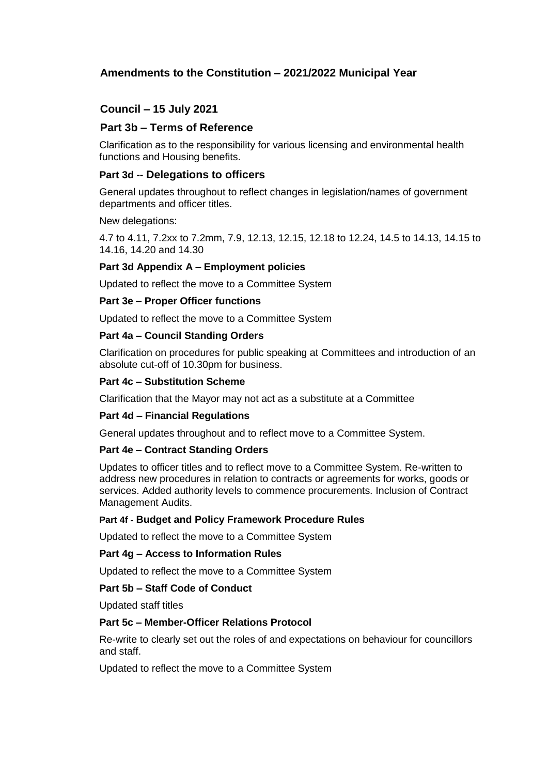# **Amendments to the Constitution – 2021/2022 Municipal Year**

# **Council – 15 July 2021**

## **Part 3b – Terms of Reference**

Clarification as to the responsibility for various licensing and environmental health functions and Housing benefits.

#### **Part 3d -- Delegations to officers**

General updates throughout to reflect changes in legislation/names of government departments and officer titles.

New delegations:

4.7 to 4.11, 7.2xx to 7.2mm, 7.9, 12.13, 12.15, 12.18 to 12.24, 14.5 to 14.13, 14.15 to 14.16, 14.20 and 14.30

#### **Part 3d Appendix A – Employment policies**

Updated to reflect the move to a Committee System

#### **Part 3e – Proper Officer functions**

Updated to reflect the move to a Committee System

#### **Part 4a – Council Standing Orders**

Clarification on procedures for public speaking at Committees and introduction of an absolute cut-off of 10.30pm for business.

#### **Part 4c – Substitution Scheme**

Clarification that the Mayor may not act as a substitute at a Committee

#### **Part 4d – Financial Regulations**

General updates throughout and to reflect move to a Committee System.

#### **Part 4e – Contract Standing Orders**

Updates to officer titles and to reflect move to a Committee System. Re-written to address new procedures in relation to contracts or agreements for works, goods or services. Added authority levels to commence procurements. Inclusion of Contract Management Audits.

#### **Part 4f - Budget and Policy Framework Procedure Rules**

Updated to reflect the move to a Committee System

#### **Part 4g – Access to Information Rules**

Updated to reflect the move to a Committee System

#### **Part 5b – Staff Code of Conduct**

Updated staff titles

#### **Part 5c – Member-Officer Relations Protocol**

Re-write to clearly set out the roles of and expectations on behaviour for councillors and staff.

Updated to reflect the move to a Committee System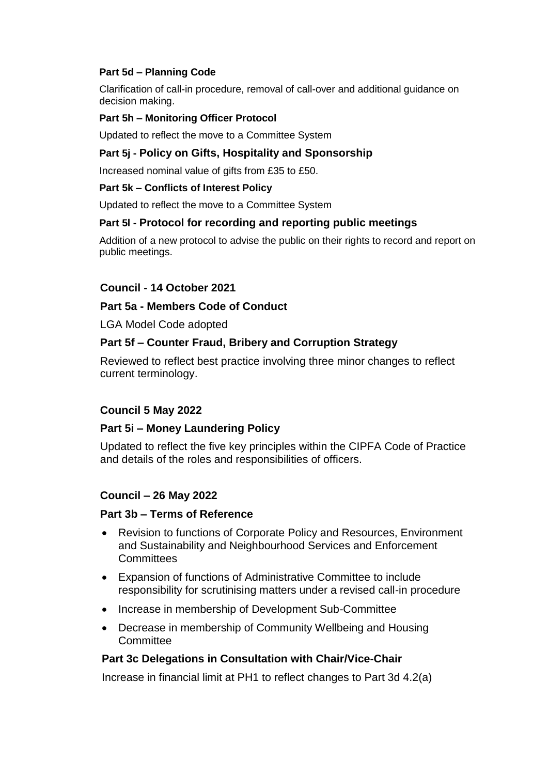# **Part 5d – Planning Code**

Clarification of call-in procedure, removal of call-over and additional guidance on decision making.

## **Part 5h – Monitoring Officer Protocol**

Updated to reflect the move to a Committee System

# **Part 5j - Policy on Gifts, Hospitality and Sponsorship**

Increased nominal value of gifts from £35 to £50.

#### **Part 5k – Conflicts of Interest Policy**

Updated to reflect the move to a Committee System

## **Part 5l - Protocol for recording and reporting public meetings**

Addition of a new protocol to advise the public on their rights to record and report on public meetings.

## **Council - 14 October 2021**

## **Part 5a - Members Code of Conduct**

LGA Model Code adopted

# **Part 5f – Counter Fraud, Bribery and Corruption Strategy**

Reviewed to reflect best practice involving three minor changes to reflect current terminology.

## **Council 5 May 2022**

## **Part 5i – Money Laundering Policy**

Updated to reflect the five key principles within the CIPFA Code of Practice and details of the roles and responsibilities of officers.

## **Council – 26 May 2022**

## **Part 3b – Terms of Reference**

- Revision to functions of Corporate Policy and Resources, Environment and Sustainability and Neighbourhood Services and Enforcement **Committees**
- Expansion of functions of Administrative Committee to include responsibility for scrutinising matters under a revised call-in procedure
- Increase in membership of Development Sub-Committee
- Decrease in membership of Community Wellbeing and Housing **Committee**

## **Part 3c Delegations in Consultation with Chair/Vice-Chair**

Increase in financial limit at PH1 to reflect changes to Part 3d 4.2(a)